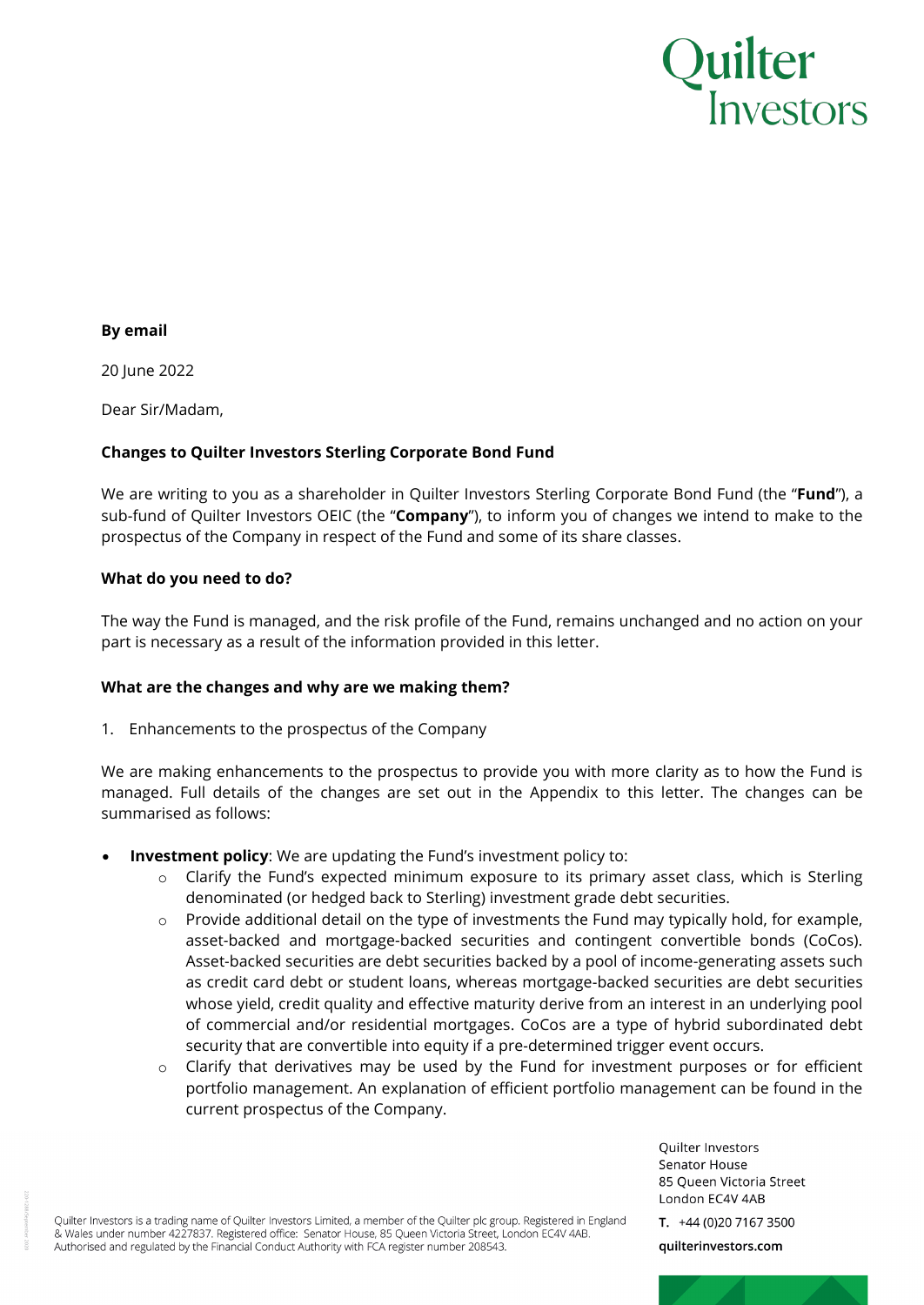

#### **By email**

20 June 2022

Dear Sir/Madam,

## **Changes to Quilter Investors Sterling Corporate Bond Fund**

We are writing to you as a shareholder in Quilter Investors Sterling Corporate Bond Fund (the "**Fund**"), a sub-fund of Quilter Investors OEIC (the "**Company**"), to inform you of changes we intend to make to the prospectus of the Company in respect of the Fund and some of its share classes.

#### **What do you need to do?**

The way the Fund is managed, and the risk profile of the Fund, remains unchanged and no action on your part is necessary as a result of the information provided in this letter.

## **What are the changes and why are we making them?**

1. Enhancements to the prospectus of the Company

We are making enhancements to the prospectus to provide you with more clarity as to how the Fund is managed. Full details of the changes are set out in the Appendix to this letter. The changes can be summarised as follows:

- **Investment policy:** We are updating the Fund's investment policy to:
	- o Clarify the Fund's expected minimum exposure to its primary asset class, which is Sterling denominated (or hedged back to Sterling) investment grade debt securities.
	- $\circ$  Provide additional detail on the type of investments the Fund may typically hold, for example, asset-backed and mortgage-backed securities and contingent convertible bonds (CoCos). Asset-backed securities are debt securities backed by a pool of income-generating assets such as credit card debt or student loans, whereas mortgage-backed securities are debt securities whose yield, credit quality and effective maturity derive from an interest in an underlying pool of commercial and/or residential mortgages. CoCos are a type of hybrid subordinated debt security that are convertible into equity if a pre-determined trigger event occurs.
	- $\circ$  Clarify that derivatives may be used by the Fund for investment purposes or for efficient portfolio management. An explanation of efficient portfolio management can be found in the current prospectus of the Company.

Quilter Investors Senator House 85 Queen Victoria Street London EC4V 4AB

Quilter Investors is a trading name of Quilter Investors Limited, a member of the Quilter plc group. Registered in England & Wales under number 4227837. Registered office: Senator House, 85 Queen Victoria Street, London EC4V 4AB. Authorised and regulated by the Financial Conduct Authority with FCA register number 208543.

T. +44 (0)20 7167 3500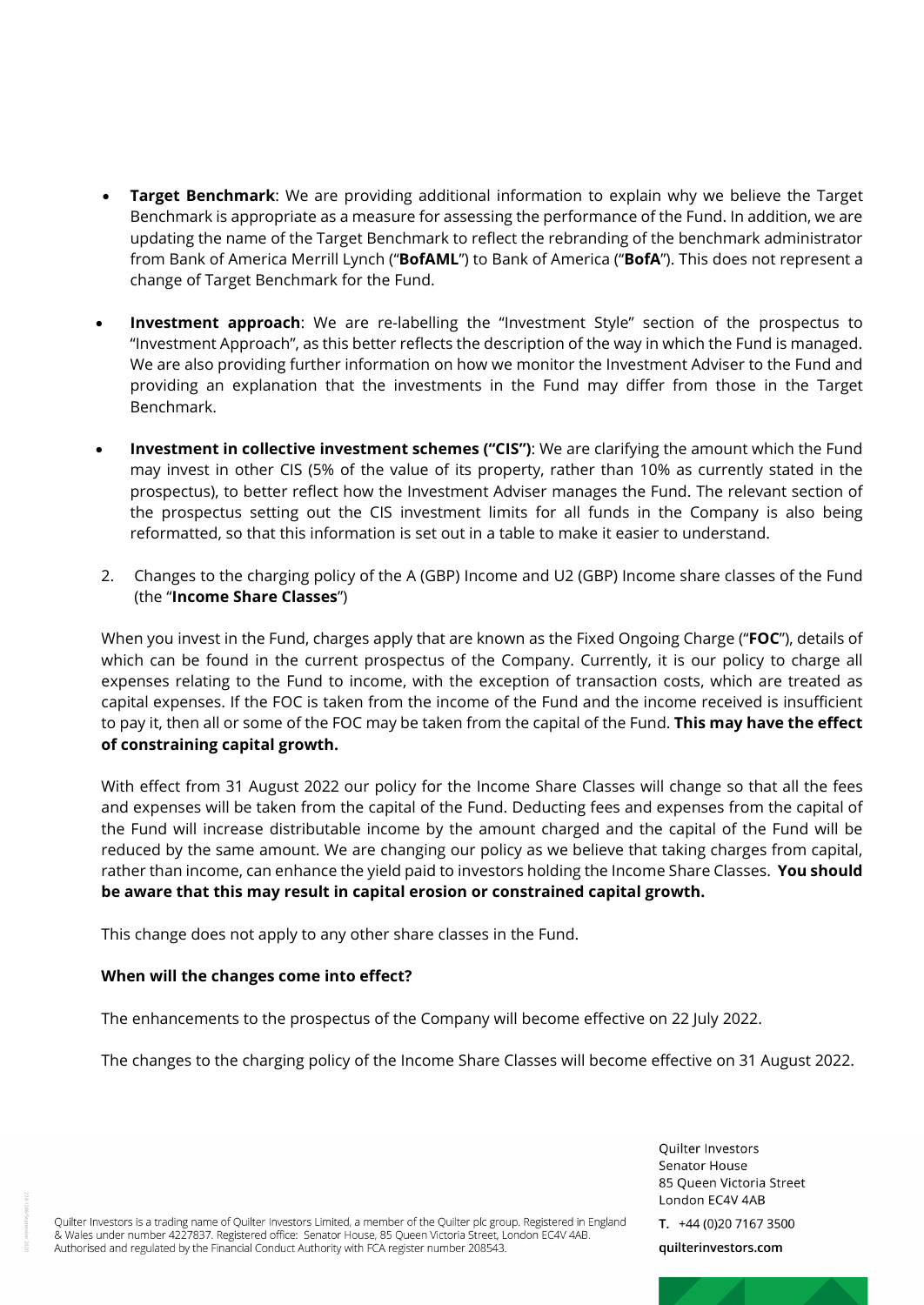- **Target Benchmark**: We are providing additional information to explain why we believe the Target Benchmark is appropriate as a measure for assessing the performance of the Fund. In addition, we are updating the name of the Target Benchmark to reflect the rebranding of the benchmark administrator from Bank of America Merrill Lynch ("**BofAML**") to Bank of America ("**BofA**"). This does not represent a change of Target Benchmark for the Fund.
- **Investment approach**: We are re-labelling the "Investment Style" section of the prospectus to "Investment Approach", as this better reflects the description of the way in which the Fund is managed. We are also providing further information on how we monitor the Investment Adviser to the Fund and providing an explanation that the investments in the Fund may differ from those in the Target Benchmark.
- **Investment in collective investment schemes ("CIS")**: We are clarifying the amount which the Fund may invest in other CIS (5% of the value of its property, rather than 10% as currently stated in the prospectus), to better reflect how the Investment Adviser manages the Fund. The relevant section of the prospectus setting out the CIS investment limits for all funds in the Company is also being reformatted, so that this information is set out in a table to make it easier to understand.
- 2. Changes to the charging policy of the A (GBP) Income and U2 (GBP) Income share classes of the Fund (the "**Income Share Classes**")

When you invest in the Fund, charges apply that are known as the Fixed Ongoing Charge ("**FOC**"), details of which can be found in the current prospectus of the Company. Currently, it is our policy to charge all expenses relating to the Fund to income, with the exception of transaction costs, which are treated as capital expenses. If the FOC is taken from the income of the Fund and the income received is insufficient to pay it, then all or some of the FOC may be taken from the capital of the Fund. **This may have the effect of constraining capital growth.** 

With effect from 31 August 2022 our policy for the Income Share Classes will change so that all the fees and expenses will be taken from the capital of the Fund. Deducting fees and expenses from the capital of the Fund will increase distributable income by the amount charged and the capital of the Fund will be reduced by the same amount. We are changing our policy as we believe that taking charges from capital, rather than income, can enhance the yield paid to investors holding the Income Share Classes. **You should be aware that this may result in capital erosion or constrained capital growth.**

This change does not apply to any other share classes in the Fund.

## **When will the changes come into effect?**

The enhancements to the prospectus of the Company will become effective on 22 July 2022.

The changes to the charging policy of the Income Share Classes will become effective on 31 August 2022.

Quilter Investors Senator House 85 Queen Victoria Street London EC4V 4AB

Quilter Investors is a trading name of Quilter Investors Limited, a member of the Quilter plc group. Registered in England & Wales under number 4227837. Registered office: Senator House, 85 Queen Victoria Street, London EC4V 4AB. Authorised and regulated by the Financial Conduct Authority with FCA register number 208543.

T.  $+44(0)2071673500$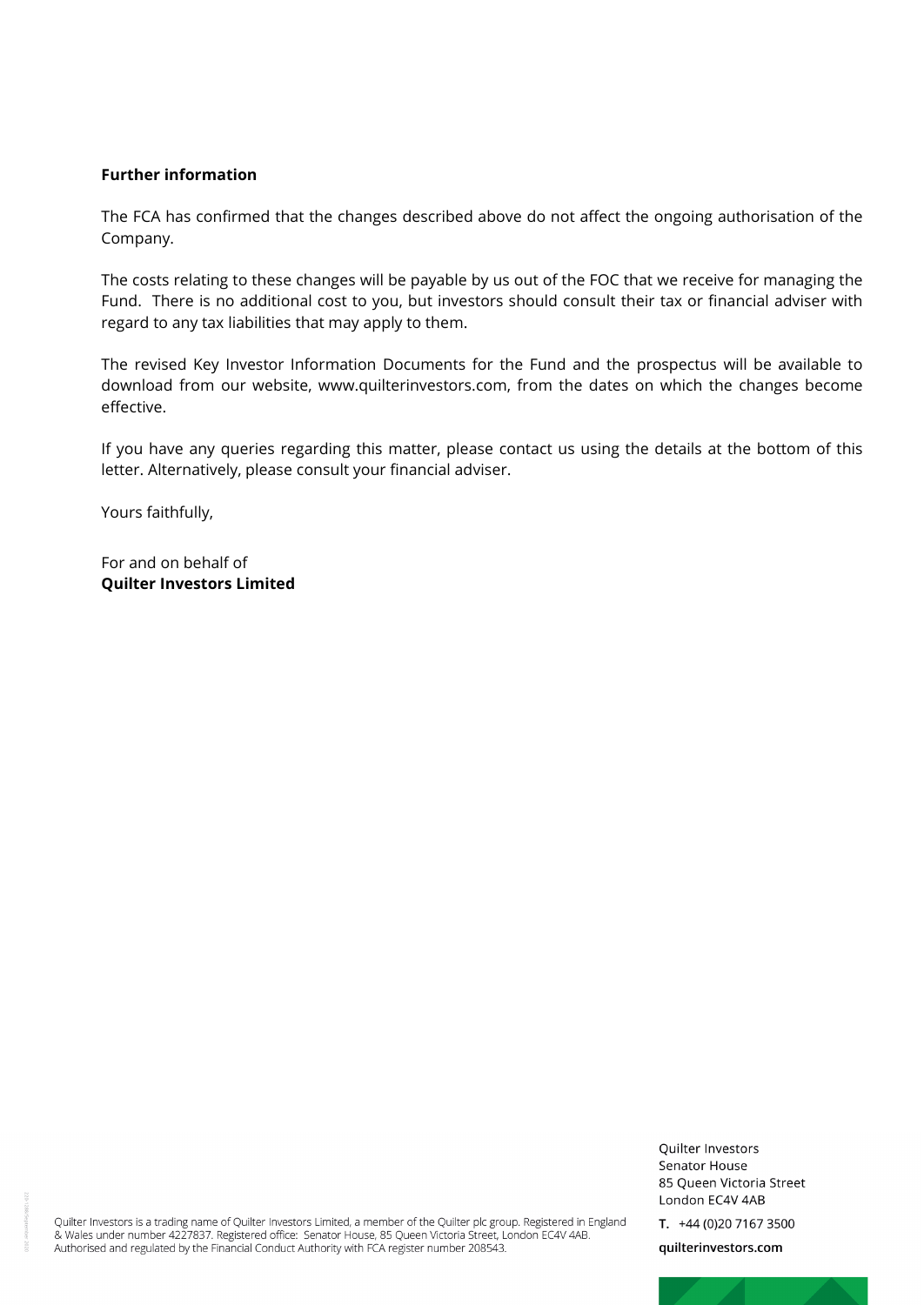#### **Further information**

The FCA has confirmed that the changes described above do not affect the ongoing authorisation of the Company.

The costs relating to these changes will be payable by us out of the FOC that we receive for managing the Fund. There is no additional cost to you, but investors should consult their tax or financial adviser with regard to any tax liabilities that may apply to them.

The revised Key Investor Information Documents for the Fund and the prospectus will be available to download from our website, www.quilterinvestors.com, from the dates on which the changes become effective.

If you have any queries regarding this matter, please contact us using the details at the bottom of this letter. Alternatively, please consult your financial adviser.

Yours faithfully,

For and on behalf of **Quilter Investors Limited**

Quilter Investors is a trading name of Quilter Investors Limited, a member of the Quilter plc group. Registered in England & Wales under number 4227837. Registered office: Senator House, 85 Queen Victoria Street, London EC4V 4AB. Authorised and regulated by the Financial Conduct Authority with FCA register number 208543.

T.  $+44(0)2071673500$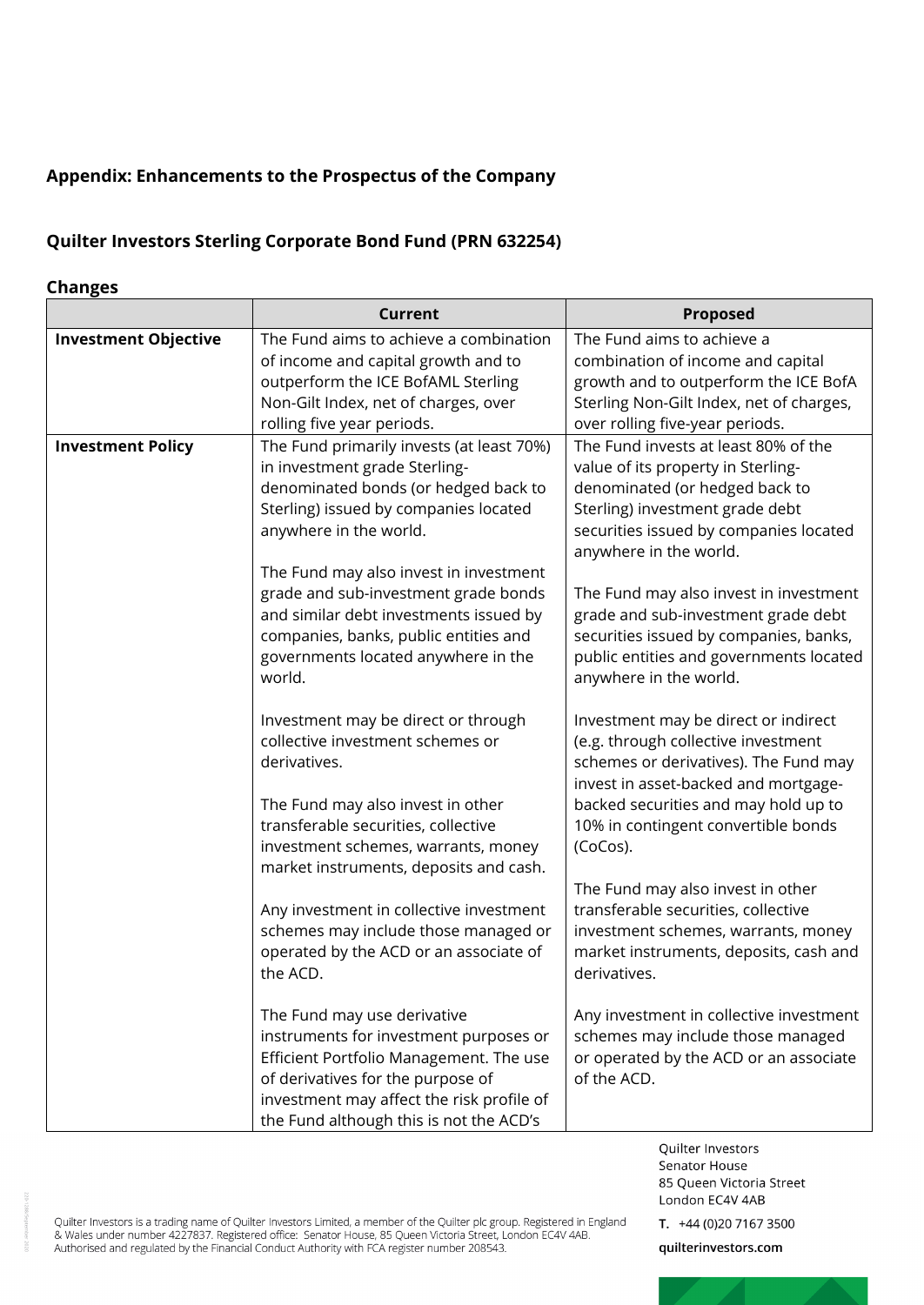# **Appendix: Enhancements to the Prospectus of the Company**

## **Quilter Investors Sterling Corporate Bond Fund (PRN 632254)**

## **Changes**

|                             | <b>Current</b>                                                                                                                                                                                                                                       | <b>Proposed</b>                                                                                                                                                                                                                                         |
|-----------------------------|------------------------------------------------------------------------------------------------------------------------------------------------------------------------------------------------------------------------------------------------------|---------------------------------------------------------------------------------------------------------------------------------------------------------------------------------------------------------------------------------------------------------|
| <b>Investment Objective</b> | The Fund aims to achieve a combination<br>of income and capital growth and to<br>outperform the ICE BofAML Sterling<br>Non-Gilt Index, net of charges, over<br>rolling five year periods.                                                            | The Fund aims to achieve a<br>combination of income and capital<br>growth and to outperform the ICE BofA<br>Sterling Non-Gilt Index, net of charges,<br>over rolling five-year periods.                                                                 |
| <b>Investment Policy</b>    | The Fund primarily invests (at least 70%)<br>in investment grade Sterling-<br>denominated bonds (or hedged back to<br>Sterling) issued by companies located<br>anywhere in the world.                                                                | The Fund invests at least 80% of the<br>value of its property in Sterling-<br>denominated (or hedged back to<br>Sterling) investment grade debt<br>securities issued by companies located<br>anywhere in the world.                                     |
|                             | The Fund may also invest in investment<br>grade and sub-investment grade bonds<br>and similar debt investments issued by<br>companies, banks, public entities and<br>governments located anywhere in the<br>world.                                   | The Fund may also invest in investment<br>grade and sub-investment grade debt<br>securities issued by companies, banks,<br>public entities and governments located<br>anywhere in the world.                                                            |
|                             | Investment may be direct or through<br>collective investment schemes or<br>derivatives.<br>The Fund may also invest in other<br>transferable securities, collective<br>investment schemes, warrants, money<br>market instruments, deposits and cash. | Investment may be direct or indirect<br>(e.g. through collective investment<br>schemes or derivatives). The Fund may<br>invest in asset-backed and mortgage-<br>backed securities and may hold up to<br>10% in contingent convertible bonds<br>(CoCos). |
|                             | Any investment in collective investment<br>schemes may include those managed or<br>operated by the ACD or an associate of<br>the ACD.                                                                                                                | The Fund may also invest in other<br>transferable securities, collective<br>investment schemes, warrants, money<br>market instruments, deposits, cash and<br>derivatives.                                                                               |
|                             | The Fund may use derivative<br>instruments for investment purposes or<br>Efficient Portfolio Management. The use<br>of derivatives for the purpose of<br>investment may affect the risk profile of<br>the Fund although this is not the ACD's        | Any investment in collective investment<br>schemes may include those managed<br>or operated by the ACD or an associate<br>of the ACD.                                                                                                                   |

Quilter Investors is a trading name of Quilter Investors Limited, a member of the Quilter plc group. Registered in England<br>& Wales under number 4227837. Registered office: Senator House, 85 Queen Victoria Street, London EC

T.  $+44(0)2071673500$